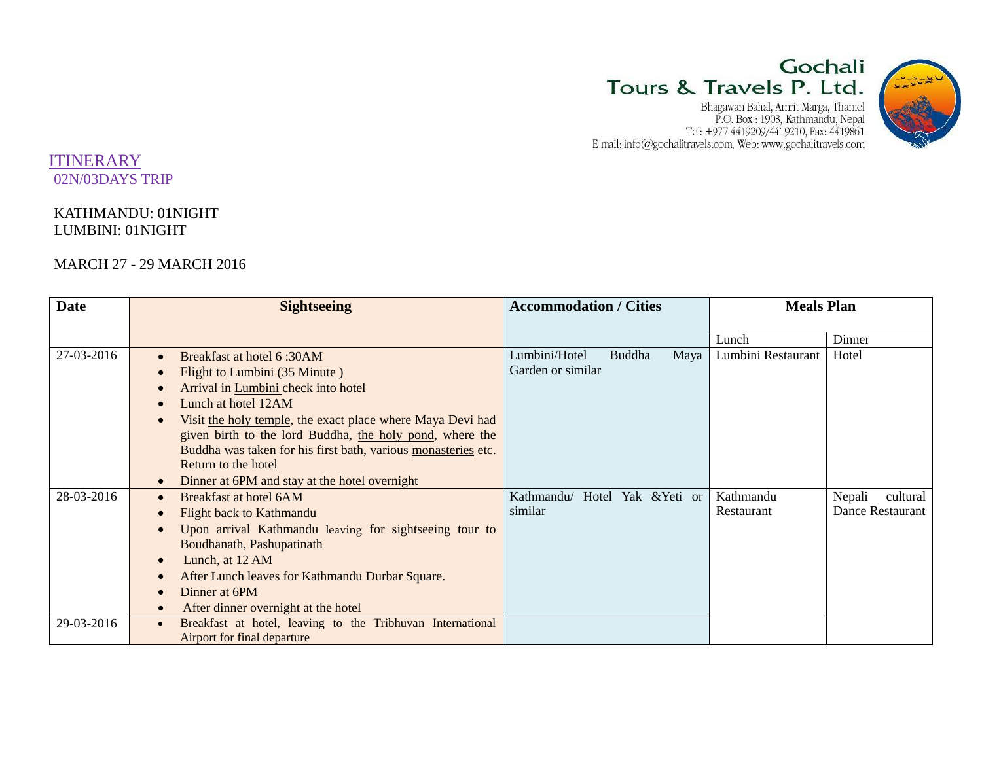# Gochali Tours & Travels P. Ltd.

 ${\small \begin{tabular}{c} Bhaqawan Bahal, Amrit Marqa, Thamel\\ P.O. Box: 1908, Kathmandu, Nepal\\ Tel: +977 4419209/4419210, Fax: 4419861\\ E-mail: info@gochalitravels.com, Web: www.gochalitravels.com \end{tabular} }$ 



## ITINERARY 02N/03DAYS TRIP

## KATHMANDU: 01NIGHT LUMBINI: 01NIGHT

## MARCH 27 - 29 MARCH 2016

| <b>Date</b> | <b>Sightseeing</b>                                                      | <b>Accommodation / Cities</b>   | <b>Meals Plan</b>               |
|-------------|-------------------------------------------------------------------------|---------------------------------|---------------------------------|
|             |                                                                         |                                 |                                 |
|             |                                                                         |                                 | Dinner<br>Lunch                 |
| 27-03-2016  | Breakfast at hotel 6:30AM<br>$\bullet$                                  | Lumbini/Hotel<br>Buddha<br>Maya | Hotel<br>Lumbini Restaurant     |
|             | Flight to Lumbini (35 Minute)<br>$\bullet$                              | Garden or similar               |                                 |
|             | Arrival in Lumbini check into hotel<br>$\bullet$                        |                                 |                                 |
|             | Lunch at hotel 12AM<br>$\bullet$                                        |                                 |                                 |
|             | Visit the holy temple, the exact place where Maya Devi had              |                                 |                                 |
|             | given birth to the lord Buddha, the holy pond, where the                |                                 |                                 |
|             | Buddha was taken for his first bath, various monasteries etc.           |                                 |                                 |
|             | Return to the hotel                                                     |                                 |                                 |
|             | Dinner at 6PM and stay at the hotel overnight<br>$\bullet$              |                                 |                                 |
| 28-03-2016  | Breakfast at hotel 6AM<br>$\bullet$                                     | Kathmandu/ Hotel Yak & Yeti or  | Kathmandu<br>Nepali<br>cultural |
|             | Flight back to Kathmandu<br>$\bullet$                                   | similar                         | Dance Restaurant<br>Restaurant  |
|             | Upon arrival Kathmandu leaving for sightseeing tour to<br>$\bullet$     |                                 |                                 |
|             | Boudhanath, Pashupatinath                                               |                                 |                                 |
|             | Lunch, at 12 AM<br>$\bullet$                                            |                                 |                                 |
|             | After Lunch leaves for Kathmandu Durbar Square.<br>$\bullet$            |                                 |                                 |
|             | Dinner at 6PM<br>$\bullet$                                              |                                 |                                 |
|             | After dinner overnight at the hotel<br>$\bullet$                        |                                 |                                 |
| 29-03-2016  | Breakfast at hotel, leaving to the Tribhuvan International<br>$\bullet$ |                                 |                                 |
|             | Airport for final departure                                             |                                 |                                 |